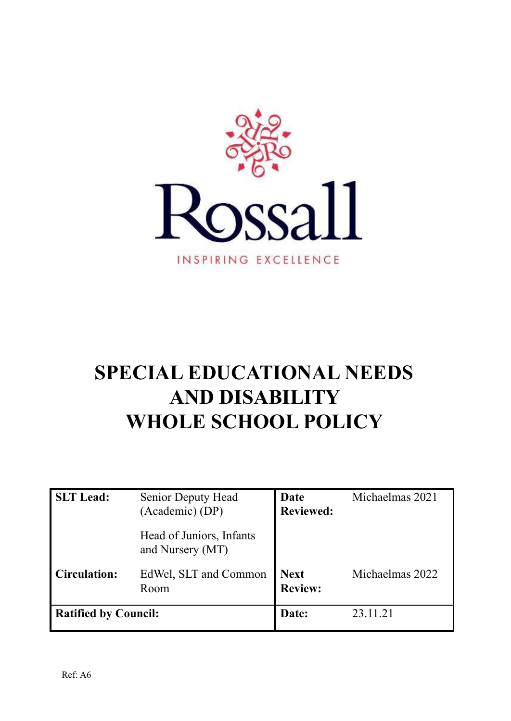

# **SPECIAL EDUCATIONAL NEEDS AND DISABILITY WHOLE SCHOOL POLICY**

| <b>SLT</b> Lead:            | <b>Senior Deputy Head</b><br>(Academic) (DP) | Date<br><b>Reviewed:</b>      | Michaelmas 2021 |
|-----------------------------|----------------------------------------------|-------------------------------|-----------------|
|                             | Head of Juniors, Infants<br>and Nursery (MT) |                               |                 |
| <b>Circulation:</b>         | EdWel, SLT and Common<br>Room                | <b>Next</b><br><b>Review:</b> | Michaelmas 2022 |
| <b>Ratified by Council:</b> |                                              | Date:                         | 23.11.21        |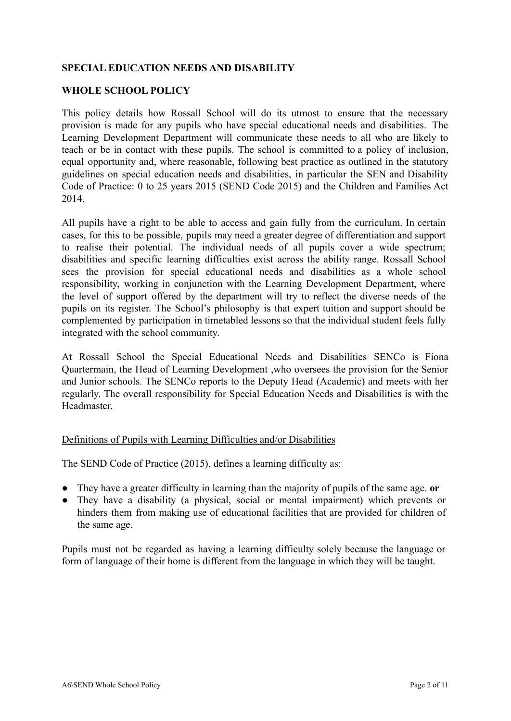# **SPECIAL EDUCATION NEEDS AND DISABILITY**

#### **WHOLE SCHOOL POLICY**

This policy details how Rossall School will do its utmost to ensure that the necessary provision is made for any pupils who have special educational needs and disabilities. The Learning Development Department will communicate these needs to all who are likely to teach or be in contact with these pupils. The school is committed to a policy of inclusion, equal opportunity and, where reasonable, following best practice as outlined in the statutory guidelines on special education needs and disabilities, in particular the SEN and Disability Code of Practice: 0 to 25 years 2015 (SEND Code 2015) and the Children and Families Act 2014.

All pupils have a right to be able to access and gain fully from the curriculum. In certain cases, for this to be possible, pupils may need a greater degree of differentiation and support to realise their potential. The individual needs of all pupils cover a wide spectrum; disabilities and specific learning difficulties exist across the ability range. Rossall School sees the provision for special educational needs and disabilities as a whole school responsibility, working in conjunction with the Learning Development Department, where the level of support offered by the department will try to reflect the diverse needs of the pupils on its register. The School's philosophy is that expert tuition and support should be complemented by participation in timetabled lessons so that the individual student feels fully integrated with the school community.

At Rossall School the Special Educational Needs and Disabilities SENCo is Fiona Quartermain, the Head of Learning Development ,who oversees the provision for the Senior and Junior schools. The SENCo reports to the Deputy Head (Academic) and meets with her regularly. The overall responsibility for Special Education Needs and Disabilities is with the Headmaster.

#### Definitions of Pupils with Learning Difficulties and/or Disabilities

The SEND Code of Practice (2015), defines a learning difficulty as:

- They have a greater difficulty in learning than the majority of pupils of the same age. **or**
- They have a disability (a physical, social or mental impairment) which prevents or hinders them from making use of educational facilities that are provided for children of the same age.

Pupils must not be regarded as having a learning difficulty solely because the language or form of language of their home is different from the language in which they will be taught.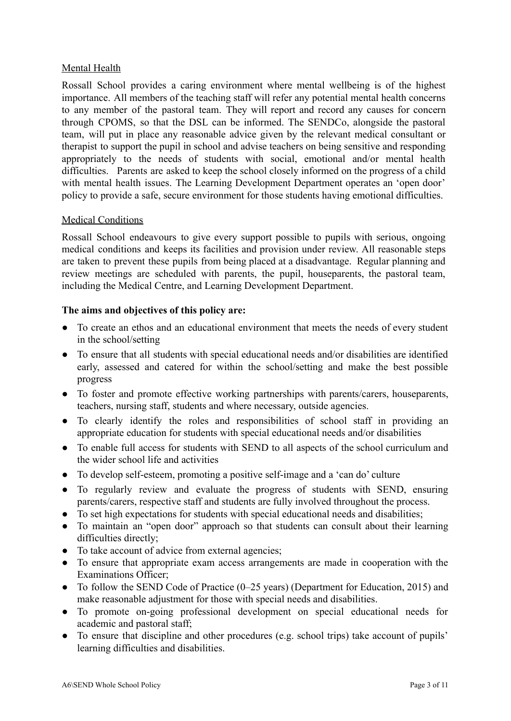# Mental Health

Rossall School provides a caring environment where mental wellbeing is of the highest importance. All members of the teaching staff will refer any potential mental health concerns to any member of the pastoral team. They will report and record any causes for concern through CPOMS, so that the DSL can be informed. The SENDCo, alongside the pastoral team, will put in place any reasonable advice given by the relevant medical consultant or therapist to support the pupil in school and advise teachers on being sensitive and responding appropriately to the needs of students with social, emotional and/or mental health difficulties. Parents are asked to keep the school closely informed on the progress of a child with mental health issues. The Learning Development Department operates an 'open door' policy to provide a safe, secure environment for those students having emotional difficulties.

# Medical Conditions

Rossall School endeavours to give every support possible to pupils with serious, ongoing medical conditions and keeps its facilities and provision under review. All reasonable steps are taken to prevent these pupils from being placed at a disadvantage. Regular planning and review meetings are scheduled with parents, the pupil, houseparents, the pastoral team, including the Medical Centre, and Learning Development Department.

# **The aims and objectives of this policy are:**

- To create an ethos and an educational environment that meets the needs of every student in the school/setting
- To ensure that all students with special educational needs and/or disabilities are identified early, assessed and catered for within the school/setting and make the best possible progress
- To foster and promote effective working partnerships with parents/carers, houseparents, teachers, nursing staff, students and where necessary, outside agencies.
- To clearly identify the roles and responsibilities of school staff in providing an appropriate education for students with special educational needs and/or disabilities
- To enable full access for students with SEND to all aspects of the school curriculum and the wider school life and activities
- To develop self-esteem, promoting a positive self-image and a 'can do' culture
- To regularly review and evaluate the progress of students with SEND, ensuring parents/carers, respective staff and students are fully involved throughout the process.
- To set high expectations for students with special educational needs and disabilities;
- To maintain an "open door" approach so that students can consult about their learning difficulties directly;
- To take account of advice from external agencies;
- To ensure that appropriate exam access arrangements are made in cooperation with the Examinations Officer;
- To follow the SEND Code of Practice (0–25 years) (Department for Education, 2015) and make reasonable adjustment for those with special needs and disabilities.
- To promote on-going professional development on special educational needs for academic and pastoral staff;
- To ensure that discipline and other procedures (e.g. school trips) take account of pupils' learning difficulties and disabilities.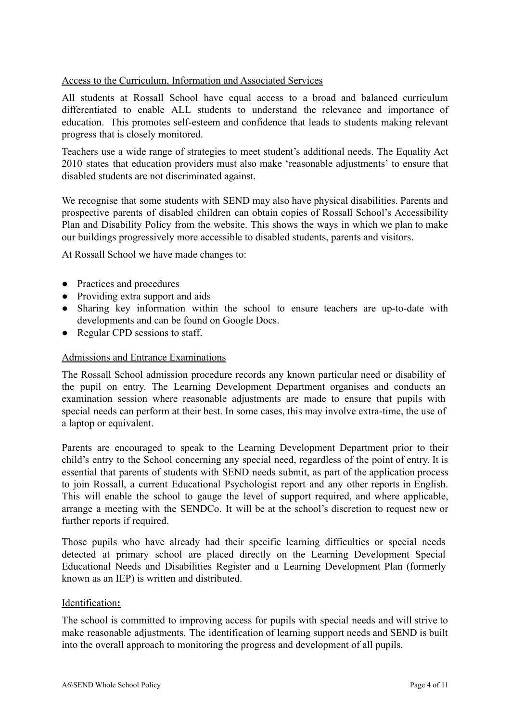# Access to the Curriculum, Information and Associated Services

All students at Rossall School have equal access to a broad and balanced curriculum differentiated to enable ALL students to understand the relevance and importance of education. This promotes self-esteem and confidence that leads to students making relevant progress that is closely monitored.

Teachers use a wide range of strategies to meet student's additional needs. The Equality Act 2010 states that education providers must also make 'reasonable adjustments' to ensure that disabled students are not discriminated against.

We recognise that some students with SEND may also have physical disabilities. Parents and prospective parents of disabled children can obtain copies of Rossall School's Accessibility Plan and Disability Policy from the website. This shows the ways in which we plan to make our buildings progressively more accessible to disabled students, parents and visitors.

At Rossall School we have made changes to:

- Practices and procedures
- Providing extra support and aids
- Sharing key information within the school to ensure teachers are up-to-date with developments and can be found on Google Docs.
- Regular CPD sessions to staff.

#### Admissions and Entrance Examinations

The Rossall School admission procedure records any known particular need or disability of the pupil on entry. The Learning Development Department organises and conducts an examination session where reasonable adjustments are made to ensure that pupils with special needs can perform at their best. In some cases, this may involve extra-time, the use of a laptop or equivalent.

Parents are encouraged to speak to the Learning Development Department prior to their child's entry to the School concerning any special need, regardless of the point of entry. It is essential that parents of students with SEND needs submit, as part of the application process to join Rossall, a current Educational Psychologist report and any other reports in English. This will enable the school to gauge the level of support required, and where applicable, arrange a meeting with the SENDCo. It will be at the school's discretion to request new or further reports if required.

Those pupils who have already had their specific learning difficulties or special needs detected at primary school are placed directly on the Learning Development Special Educational Needs and Disabilities Register and a Learning Development Plan (formerly known as an IEP) is written and distributed.

#### Identification**:**

The school is committed to improving access for pupils with special needs and will strive to make reasonable adjustments. The identification of learning support needs and SEND is built into the overall approach to monitoring the progress and development of all pupils.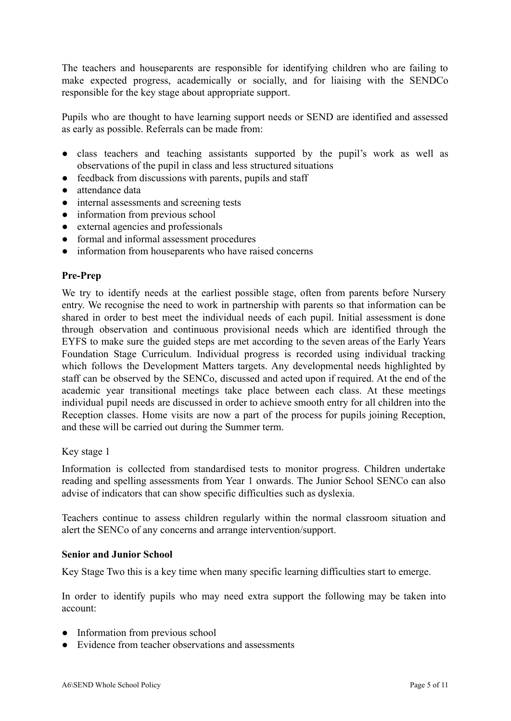The teachers and houseparents are responsible for identifying children who are failing to make expected progress, academically or socially, and for liaising with the SENDCo responsible for the key stage about appropriate support.

Pupils who are thought to have learning support needs or SEND are identified and assessed as early as possible. Referrals can be made from:

- class teachers and teaching assistants supported by the pupil's work as well as observations of the pupil in class and less structured situations
- feedback from discussions with parents, pupils and staff
- attendance data
- internal assessments and screening tests
- information from previous school
- external agencies and professionals
- formal and informal assessment procedures
- information from houseparents who have raised concerns

# **Pre-Prep**

We try to identify needs at the earliest possible stage, often from parents before Nursery entry. We recognise the need to work in partnership with parents so that information can be shared in order to best meet the individual needs of each pupil. Initial assessment is done through observation and continuous provisional needs which are identified through the EYFS to make sure the guided steps are met according to the seven areas of the Early Years Foundation Stage Curriculum. Individual progress is recorded using individual tracking which follows the Development Matters targets. Any developmental needs highlighted by staff can be observed by the SENCo, discussed and acted upon if required. At the end of the academic year transitional meetings take place between each class. At these meetings individual pupil needs are discussed in order to achieve smooth entry for all children into the Reception classes. Home visits are now a part of the process for pupils joining Reception, and these will be carried out during the Summer term.

#### Key stage 1

Information is collected from standardised tests to monitor progress. Children undertake reading and spelling assessments from Year 1 onwards. The Junior School SENCo can also advise of indicators that can show specific difficulties such as dyslexia.

Teachers continue to assess children regularly within the normal classroom situation and alert the SENCo of any concerns and arrange intervention/support.

#### **Senior and Junior School**

Key Stage Two this is a key time when many specific learning difficulties start to emerge.

In order to identify pupils who may need extra support the following may be taken into account:

- Information from previous school
- Evidence from teacher observations and assessments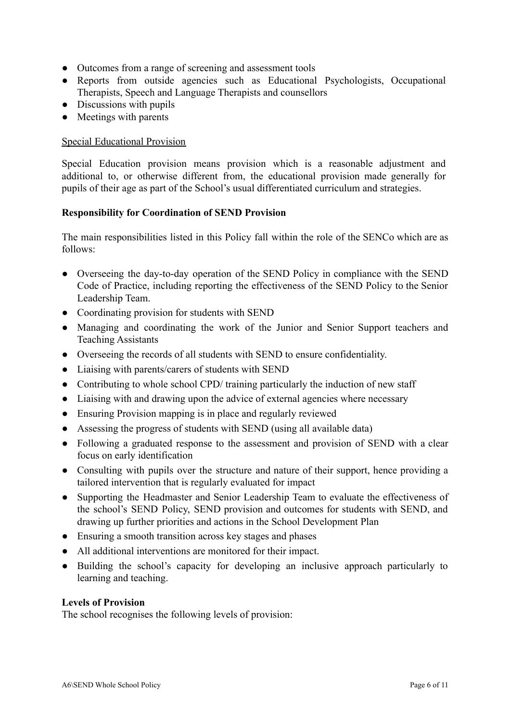- Outcomes from a range of screening and assessment tools
- Reports from outside agencies such as Educational Psychologists, Occupational Therapists, Speech and Language Therapists and counsellors
- Discussions with pupils
- Meetings with parents

# Special Educational Provision

Special Education provision means provision which is a reasonable adjustment and additional to, or otherwise different from, the educational provision made generally for pupils of their age as part of the School's usual differentiated curriculum and strategies.

# **Responsibility for Coordination of SEND Provision**

The main responsibilities listed in this Policy fall within the role of the SENCo which are as follows:

- Overseeing the day-to-day operation of the SEND Policy in compliance with the SEND Code of Practice, including reporting the effectiveness of the SEND Policy to the Senior Leadership Team.
- Coordinating provision for students with SEND
- Managing and coordinating the work of the Junior and Senior Support teachers and Teaching Assistants
- Overseeing the records of all students with SEND to ensure confidentiality.
- Liaising with parents/carers of students with SEND
- Contributing to whole school CPD/ training particularly the induction of new staff
- Liaising with and drawing upon the advice of external agencies where necessary
- Ensuring Provision mapping is in place and regularly reviewed
- Assessing the progress of students with SEND (using all available data)
- Following a graduated response to the assessment and provision of SEND with a clear focus on early identification
- Consulting with pupils over the structure and nature of their support, hence providing a tailored intervention that is regularly evaluated for impact
- Supporting the Headmaster and Senior Leadership Team to evaluate the effectiveness of the school's SEND Policy, SEND provision and outcomes for students with SEND, and drawing up further priorities and actions in the School Development Plan
- Ensuring a smooth transition across key stages and phases
- All additional interventions are monitored for their impact.
- Building the school's capacity for developing an inclusive approach particularly to learning and teaching.

#### **Levels of Provision**

The school recognises the following levels of provision: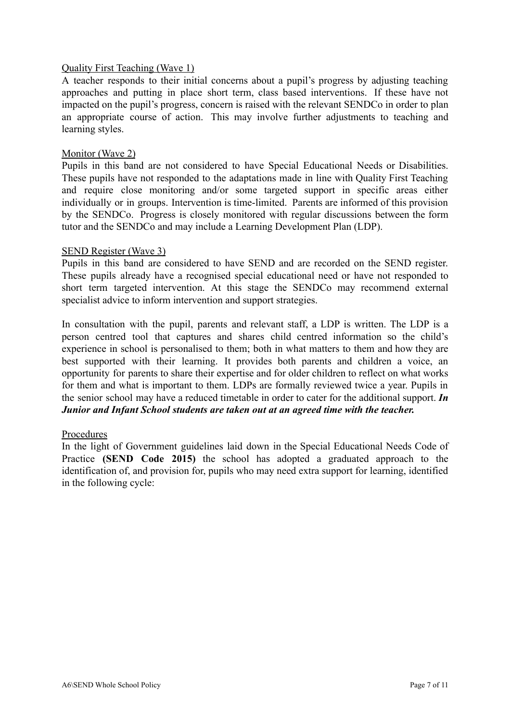#### Quality First Teaching (Wave 1)

A teacher responds to their initial concerns about a pupil's progress by adjusting teaching approaches and putting in place short term, class based interventions. If these have not impacted on the pupil's progress, concern is raised with the relevant SENDCo in order to plan an appropriate course of action. This may involve further adjustments to teaching and learning styles.

#### Monitor (Wave 2)

Pupils in this band are not considered to have Special Educational Needs or Disabilities. These pupils have not responded to the adaptations made in line with Quality First Teaching and require close monitoring and/or some targeted support in specific areas either individually or in groups. Intervention is time-limited. Parents are informed of this provision by the SENDCo. Progress is closely monitored with regular discussions between the form tutor and the SENDCo and may include a Learning Development Plan (LDP).

#### SEND Register (Wave 3)

Pupils in this band are considered to have SEND and are recorded on the SEND register. These pupils already have a recognised special educational need or have not responded to short term targeted intervention. At this stage the SENDCo may recommend external specialist advice to inform intervention and support strategies.

In consultation with the pupil, parents and relevant staff, a LDP is written. The LDP is a person centred tool that captures and shares child centred information so the child's experience in school is personalised to them; both in what matters to them and how they are best supported with their learning. It provides both parents and children a voice, an opportunity for parents to share their expertise and for older children to reflect on what works for them and what is important to them. LDPs are formally reviewed twice a year. Pupils in the senior school may have a reduced timetable in order to cater for the additional support. *In Junior and Infant School students are taken out at an agreed time with the teacher.*

#### Procedures

In the light of Government guidelines laid down in the Special Educational Needs Code of Practice **(SEND Code 2015)** the school has adopted a graduated approach to the identification of, and provision for, pupils who may need extra support for learning, identified in the following cycle: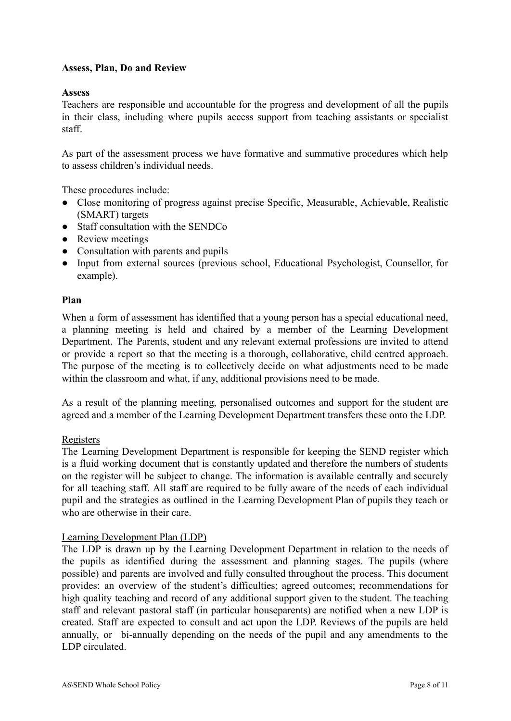# **Assess, Plan, Do and Review**

#### **Assess**

Teachers are responsible and accountable for the progress and development of all the pupils in their class, including where pupils access support from teaching assistants or specialist staff.

As part of the assessment process we have formative and summative procedures which help to assess children's individual needs.

These procedures include:

- Close monitoring of progress against precise Specific, Measurable, Achievable, Realistic (SMART) targets
- Staff consultation with the SENDCo
- Review meetings
- Consultation with parents and pupils
- Input from external sources (previous school, Educational Psychologist, Counsellor, for example).

#### **Plan**

When a form of assessment has identified that a young person has a special educational need, a planning meeting is held and chaired by a member of the Learning Development Department. The Parents, student and any relevant external professions are invited to attend or provide a report so that the meeting is a thorough, collaborative, child centred approach. The purpose of the meeting is to collectively decide on what adjustments need to be made within the classroom and what, if any, additional provisions need to be made.

As a result of the planning meeting, personalised outcomes and support for the student are agreed and a member of the Learning Development Department transfers these onto the LDP.

#### Registers

The Learning Development Department is responsible for keeping the SEND register which is a fluid working document that is constantly updated and therefore the numbers of students on the register will be subject to change. The information is available centrally and securely for all teaching staff. All staff are required to be fully aware of the needs of each individual pupil and the strategies as outlined in the Learning Development Plan of pupils they teach or who are otherwise in their care.

#### Learning Development Plan (LDP)

The LDP is drawn up by the Learning Development Department in relation to the needs of the pupils as identified during the assessment and planning stages. The pupils (where possible) and parents are involved and fully consulted throughout the process. This document provides: an overview of the student's difficulties; agreed outcomes; recommendations for high quality teaching and record of any additional support given to the student. The teaching staff and relevant pastoral staff (in particular houseparents) are notified when a new LDP is created. Staff are expected to consult and act upon the LDP. Reviews of the pupils are held annually, or bi-annually depending on the needs of the pupil and any amendments to the LDP circulated.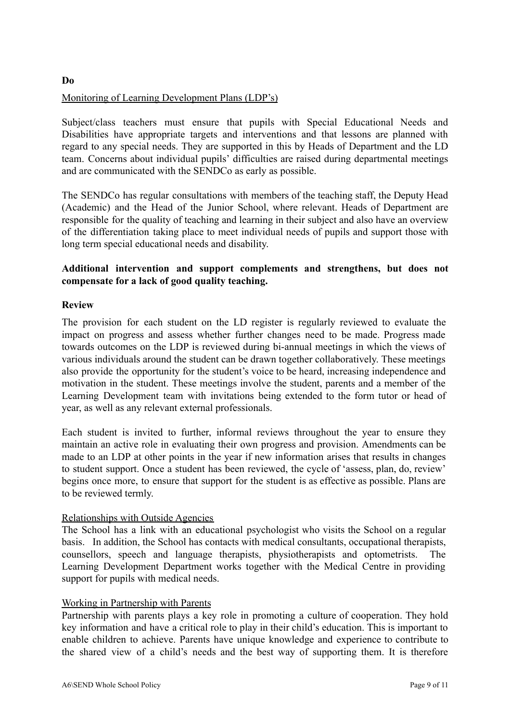# **Do** Monitoring of Learning Development Plans (LDP's)

Subject/class teachers must ensure that pupils with Special Educational Needs and Disabilities have appropriate targets and interventions and that lessons are planned with regard to any special needs. They are supported in this by Heads of Department and the LD team. Concerns about individual pupils' difficulties are raised during departmental meetings and are communicated with the SENDCo as early as possible.

The SENDCo has regular consultations with members of the teaching staff, the Deputy Head (Academic) and the Head of the Junior School, where relevant. Heads of Department are responsible for the quality of teaching and learning in their subject and also have an overview of the differentiation taking place to meet individual needs of pupils and support those with long term special educational needs and disability.

# **Additional intervention and support complements and strengthens, but does not compensate for a lack of good quality teaching.**

# **Review**

The provision for each student on the LD register is regularly reviewed to evaluate the impact on progress and assess whether further changes need to be made. Progress made towards outcomes on the LDP is reviewed during bi-annual meetings in which the views of various individuals around the student can be drawn together collaboratively. These meetings also provide the opportunity for the student's voice to be heard, increasing independence and motivation in the student. These meetings involve the student, parents and a member of the Learning Development team with invitations being extended to the form tutor or head of year, as well as any relevant external professionals.

Each student is invited to further, informal reviews throughout the year to ensure they maintain an active role in evaluating their own progress and provision. Amendments can be made to an LDP at other points in the year if new information arises that results in changes to student support. Once a student has been reviewed, the cycle of 'assess, plan, do, review' begins once more, to ensure that support for the student is as effective as possible. Plans are to be reviewed termly.

#### Relationships with Outside Agencies

The School has a link with an educational psychologist who visits the School on a regular basis. In addition, the School has contacts with medical consultants, occupational therapists, counsellors, speech and language therapists, physiotherapists and optometrists. The Learning Development Department works together with the Medical Centre in providing support for pupils with medical needs.

#### Working in Partnership with Parents

Partnership with parents plays a key role in promoting a culture of cooperation. They hold key information and have a critical role to play in their child's education. This is important to enable children to achieve. Parents have unique knowledge and experience to contribute to the shared view of a child's needs and the best way of supporting them. It is therefore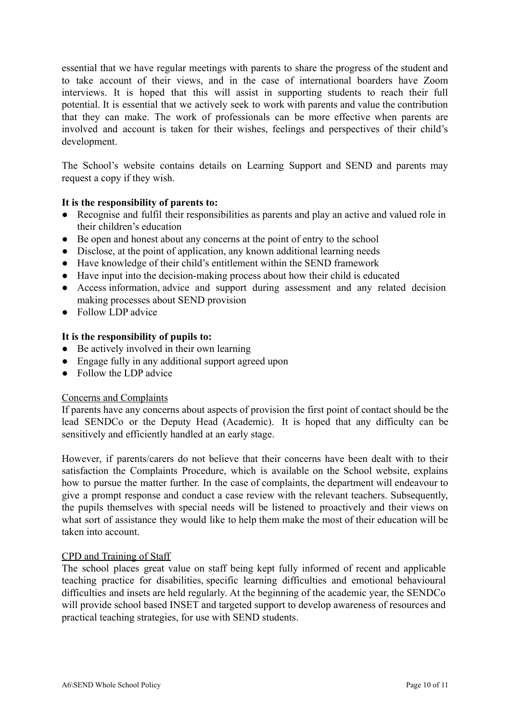essential that we have regular meetings with parents to share the progress of the student and to take account of their views, and in the case of international boarders have Zoom interviews. It is hoped that this will assist in supporting students to reach their full potential. It is essential that we actively seek to work with parents and value the contribution that they can make. The work of professionals can be more effective when parents are involved and account is taken for their wishes, feelings and perspectives of their child's development.

The School's website contains details on Learning Support and SEND and parents may request a copy if they wish.

# **It is the responsibility of parents to:**

- Recognise and fulfil their responsibilities as parents and play an active and valued role in their children's education
- Be open and honest about any concerns at the point of entry to the school
- Disclose, at the point of application, any known additional learning needs
- Have knowledge of their child's entitlement within the SEND framework
- Have input into the decision-making process about how their child is educated
- Access information, advice and support during assessment and any related decision making processes about SEND provision
- Follow LDP advice

# **It is the responsibility of pupils to:**

- Be actively involved in their own learning
- Engage fully in any additional support agreed upon
- Follow the LDP advice

#### Concerns and Complaints

If parents have any concerns about aspects of provision the first point of contact should be the lead SENDCo or the Deputy Head (Academic). It is hoped that any difficulty can be sensitively and efficiently handled at an early stage.

However, if parents/carers do not believe that their concerns have been dealt with to their satisfaction the Complaints Procedure, which is available on the School website, explains how to pursue the matter further. In the case of complaints, the department will endeavour to give a prompt response and conduct a case review with the relevant teachers. Subsequently, the pupils themselves with special needs will be listened to proactively and their views on what sort of assistance they would like to help them make the most of their education will be taken into account.

#### CPD and Training of Staff

The school places great value on staff being kept fully informed of recent and applicable teaching practice for disabilities, specific learning difficulties and emotional behavioural difficulties and insets are held regularly. At the beginning of the academic year, the SENDCo will provide school based INSET and targeted support to develop awareness of resources and practical teaching strategies, for use with SEND students.